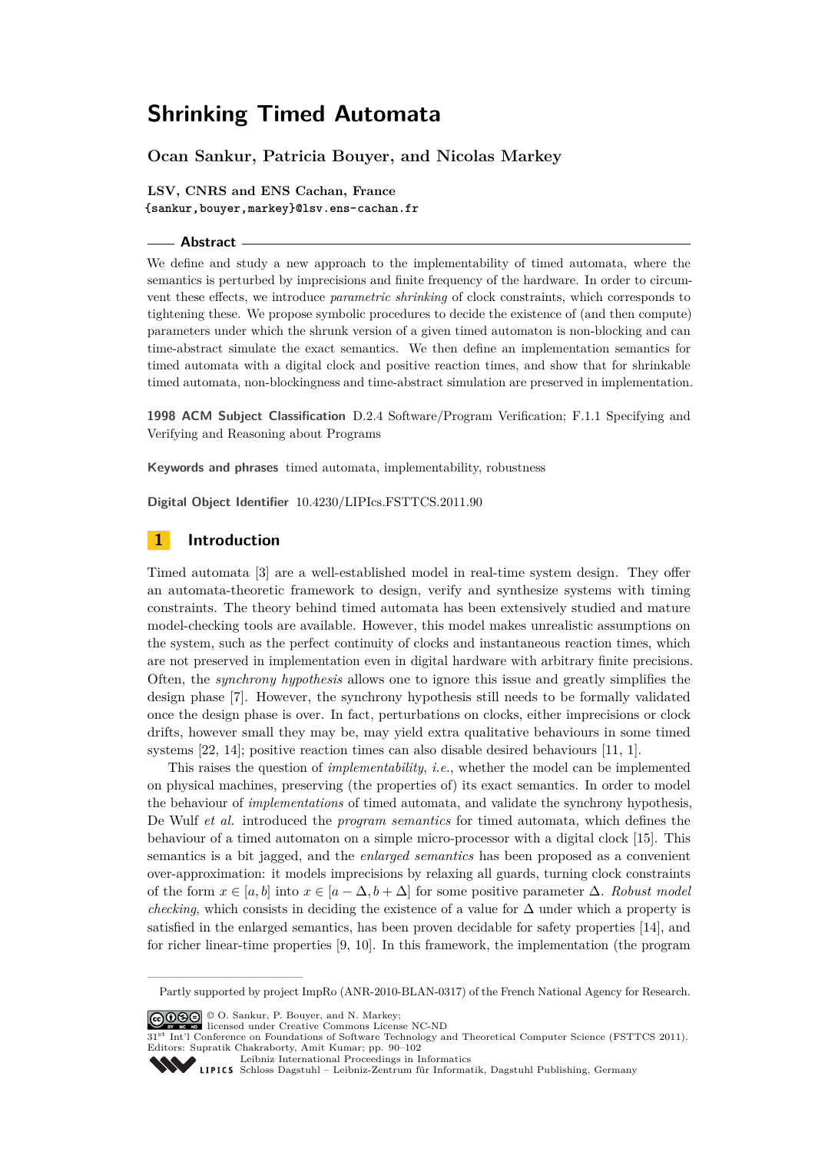# **Ocan Sankur, Patricia Bouyer, and Nicolas Markey**

**LSV, CNRS and ENS Cachan, France <{sankur,bouyer,markey}@lsv.ens-cachan.fr>**

#### **Abstract**

We define and study a new approach to the implementability of timed automata, where the semantics is perturbed by imprecisions and finite frequency of the hardware. In order to circumvent these effects, we introduce *parametric shrinking* of clock constraints, which corresponds to tightening these. We propose symbolic procedures to decide the existence of (and then compute) parameters under which the shrunk version of a given timed automaton is non-blocking and can time-abstract simulate the exact semantics. We then define an implementation semantics for timed automata with a digital clock and positive reaction times, and show that for shrinkable timed automata, non-blockingness and time-abstract simulation are preserved in implementation.

**1998 ACM Subject Classification** D.2.4 Software/Program Verification; F.1.1 Specifying and Verifying and Reasoning about Programs

**Keywords and phrases** timed automata, implementability, robustness

**Digital Object Identifier** [10.4230/LIPIcs.FSTTCS.2011.90](http://dx.doi.org/10.4230/LIPIcs.FSTTCS.2011.90)

## **1 Introduction**

Timed automata [\[3\]](#page-11-0) are a well-established model in real-time system design. They offer an automata-theoretic framework to design, verify and synthesize systems with timing constraints. The theory behind timed automata has been extensively studied and mature model-checking tools are available. However, this model makes unrealistic assumptions on the system, such as the perfect continuity of clocks and instantaneous reaction times, which are not preserved in implementation even in digital hardware with arbitrary finite precisions. Often, the *synchrony hypothesis* allows one to ignore this issue and greatly simplifies the design phase [\[7\]](#page-11-1). However, the synchrony hypothesis still needs to be formally validated once the design phase is over. In fact, perturbations on clocks, either imprecisions or clock drifts, however small they may be, may yield extra qualitative behaviours in some timed systems [\[22,](#page-12-0) [14\]](#page-11-2); positive reaction times can also disable desired behaviours [\[11,](#page-11-3) [1\]](#page-11-4).

This raises the question of *implementability*, *i.e.*, whether the model can be implemented on physical machines, preserving (the properties of) its exact semantics. In order to model the behaviour of *implementations* of timed automata, and validate the synchrony hypothesis, De Wulf *et al.* introduced the *program semantics* for timed automata, which defines the behaviour of a timed automaton on a simple micro-processor with a digital clock [\[15\]](#page-11-5). This semantics is a bit jagged, and the *enlarged semantics* has been proposed as a convenient over-approximation: it models imprecisions by relaxing all guards, turning clock constraints of the form *x* ∈ [*a, b*] into *x* ∈ [*a* − ∆*, b* + ∆] for some positive parameter ∆. *Robust model checking*, which consists in deciding the existence of a value for  $\Delta$  under which a property is satisfied in the enlarged semantics, has been proven decidable for safety properties [\[14\]](#page-11-2), and for richer linear-time properties [\[9,](#page-11-6) [10\]](#page-11-7). In this framework, the implementation (the program

© O. Sankur, P. Bouyer, and N. Markey; licensed under Creative Commons License NC-ND

<sup>31&</sup>lt;sup>st</sup> Int'l Conference on Foundations of Software Technology and Theoretical Computer Science (FSTTCS 2011). Editors: Supratik Chakraborty, Amit Kumar; pp. 90[–102](#page-12-1)



Leibniz international Froceedings in informatik, Dagstuhl Publishing, Germany<br>LIPICS [Schloss Dagstuhl – Leibniz-Zentrum für Informatik, Dagstuhl Publishing, Germany](http://www.dagstuhl.de)

Partly supported by project ImpRo (ANR-2010-BLAN-0317) of the French National Agency for Research.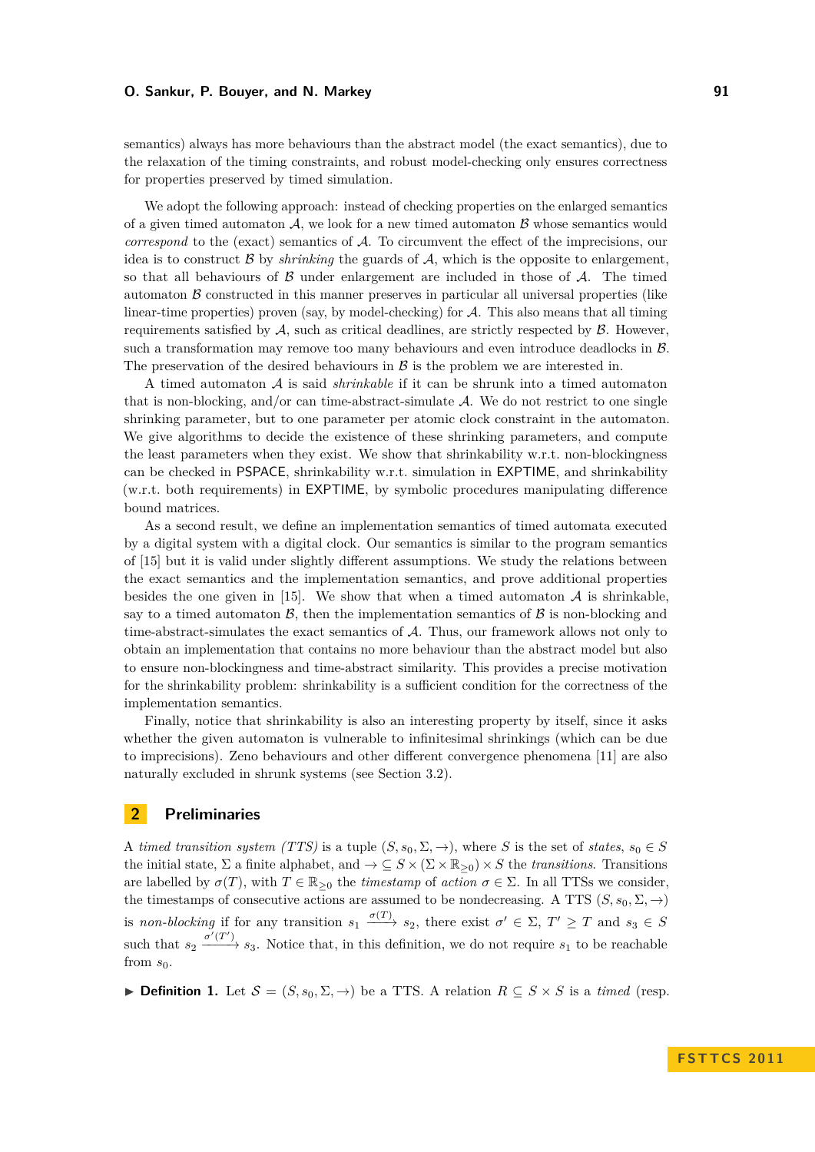semantics) always has more behaviours than the abstract model (the exact semantics), due to the relaxation of the timing constraints, and robust model-checking only ensures correctness for properties preserved by timed simulation.

We adopt the following approach: instead of checking properties on the enlarged semantics of a given timed automaton  $A$ , we look for a new timed automaton  $B$  whose semantics would *correspond* to the (exact) semantics of A. To circumvent the effect of the imprecisions, our idea is to construct  $\beta$  by *shrinking* the guards of  $\mathcal{A}$ , which is the opposite to enlargement, so that all behaviours of  $\beta$  under enlargement are included in those of  $\mathcal{A}$ . The timed automaton  $\beta$  constructed in this manner preserves in particular all universal properties (like linear-time properties) proven (say, by model-checking) for  $A$ . This also means that all timing requirements satisfied by  $A$ , such as critical deadlines, are strictly respected by  $B$ . However, such a transformation may remove too many behaviours and even introduce deadlocks in  $\beta$ . The preservation of the desired behaviours in  $\beta$  is the problem we are interested in.

A timed automaton A is said *shrinkable* if it can be shrunk into a timed automaton that is non-blocking, and/or can time-abstract-simulate A. We do not restrict to one single shrinking parameter, but to one parameter per atomic clock constraint in the automaton. We give algorithms to decide the existence of these shrinking parameters, and compute the least parameters when they exist. We show that shrinkability w.r.t. non-blockingness can be checked in PSPACE, shrinkability w.r.t. simulation in EXPTIME, and shrinkability (w.r.t. both requirements) in EXPTIME, by symbolic procedures manipulating difference bound matrices.

As a second result, we define an implementation semantics of timed automata executed by a digital system with a digital clock. Our semantics is similar to the program semantics of [\[15\]](#page-11-5) but it is valid under slightly different assumptions. We study the relations between the exact semantics and the implementation semantics, and prove additional properties besides the one given in [\[15\]](#page-11-5). We show that when a timed automaton  $A$  is shrinkable, say to a timed automaton  $\mathcal{B}$ , then the implementation semantics of  $\mathcal{B}$  is non-blocking and time-abstract-simulates the exact semantics of A. Thus, our framework allows not only to obtain an implementation that contains no more behaviour than the abstract model but also to ensure non-blockingness and time-abstract similarity. This provides a precise motivation for the shrinkability problem: shrinkability is a sufficient condition for the correctness of the implementation semantics.

Finally, notice that shrinkability is also an interesting property by itself, since it asks whether the given automaton is vulnerable to infinitesimal shrinkings (which can be due to imprecisions). Zeno behaviours and other different convergence phenomena [\[11\]](#page-11-3) are also naturally excluded in shrunk systems (see Section [3.2\)](#page-4-0).

# **2 Preliminaries**

A *timed transition system (TTS)* is a tuple  $(S, s_0, \Sigma, \rightarrow)$ , where *S* is the set of *states*,  $s_0 \in S$ the initial state,  $\Sigma$  a finite alphabet, and  $\to \subseteq S \times (\Sigma \times \mathbb{R}_{\geq 0}) \times S$  the *transitions*. Transitions are labelled by  $\sigma(T)$ , with  $T \in \mathbb{R}_{\geq 0}$  the *timestamp* of *action*  $\sigma \in \Sigma$ . In all TTSs we consider, the timestamps of consecutive actions are assumed to be nondecreasing. A TTS  $(S, s_0, \Sigma, \rightarrow)$ is *non-blocking* if for any transition  $s_1 \xrightarrow{\sigma(T)} s_2$ , there exist  $\sigma' \in \Sigma$ ,  $T' \geq T$  and  $s_3 \in S$ such that  $s_2 \xrightarrow{\sigma'(T')} s_3$ . Notice that, in this definition, we do not require  $s_1$  to be reachable from  $s_0$ .

► **Definition 1.** Let  $S = (S, s_0, \Sigma, \rightarrow)$  be a TTS. A relation  $R \subseteq S \times S$  is a *timed* (resp.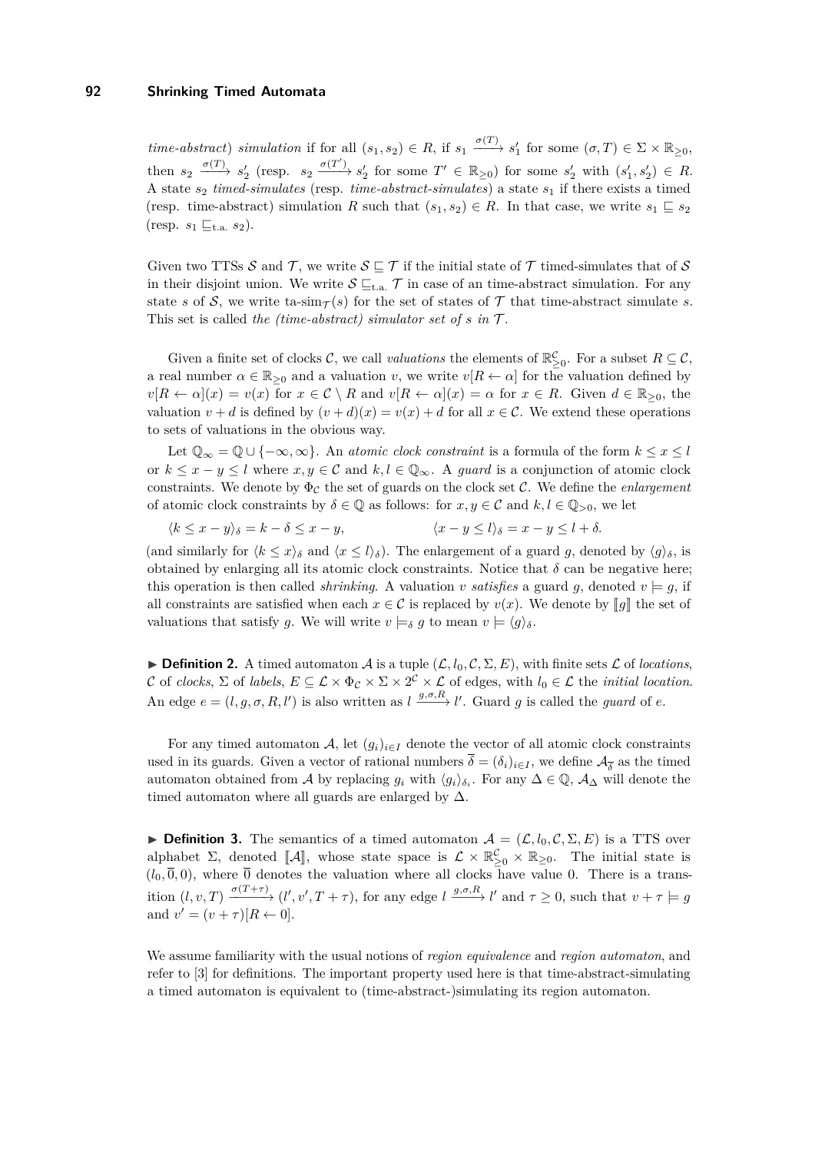*time-abstract*) *simulation* if for all  $(s_1, s_2) \in R$ , if  $s_1 \xrightarrow{\sigma(T)} s'_1$  for some  $(\sigma, T) \in \Sigma \times \mathbb{R}_{\geq 0}$ ,  $\lim_{s_2} f^{(T)} \to s'_2$  (resp.  $s_2 \xrightarrow{\sigma(T')} s'_2$  for some  $T' \in \mathbb{R}_{\geq 0}$ ) for some  $s'_2$  with  $(s'_1, s'_2) \in R$ . A state *s*<sup>2</sup> *timed-simulates* (resp. *time-abstract-simulates*) a state *s*<sup>1</sup> if there exists a timed (resp. time-abstract) simulation *R* such that  $(s_1, s_2) \in R$ . In that case, we write  $s_1 \subseteq s_2$ (resp.  $s_1 \sqsubseteq_{t.a.} s_2$ ).

Given two TTSs S and T, we write  $S \subseteq T$  if the initial state of T timed-simulates that of S in their disjoint union. We write  $S \subseteq_{t.a.} \mathcal{T}$  in case of an time-abstract simulation. For any state *s* of S, we write ta-sim<sub>T</sub>(s) for the set of states of T that time-abstract simulate *s*. This set is called *the (time-abstract) simulator set of*  $s$  *in*  $\mathcal{T}$ .

Given a finite set of clocks  $\mathcal{C}$ , we call *valuations* the elements of  $\mathbb{R}^{\mathcal{C}}_{\geq 0}$ . For a subset  $R \subseteq \mathcal{C}$ , a real number  $\alpha \in \mathbb{R}_{\geq 0}$  and a valuation *v*, we write  $v[R \leftarrow \alpha]$  for the valuation defined by  $v[R \leftarrow \alpha](x) = v(x)$  for  $x \in C \setminus R$  and  $v[R \leftarrow \alpha](x) = \alpha$  for  $x \in R$ . Given  $d \in \mathbb{R}_{\geq 0}$ , the valuation  $v + d$  is defined by  $(v + d)(x) = v(x) + d$  for all  $x \in C$ . We extend these operations to sets of valuations in the obvious way.

Let  $\mathbb{Q}_{\infty} = \mathbb{Q} \cup \{-\infty, \infty\}$ . An *atomic clock constraint* is a formula of the form  $k \leq x \leq l$ or  $k \leq x - y \leq l$  where  $x, y \in \mathcal{C}$  and  $k, l \in \mathbb{Q}_{\infty}$ . A *guard* is a conjunction of atomic clock constraints. We denote by  $\Phi_c$  the set of guards on the clock set C. We define the *enlargement* of atomic clock constraints by  $\delta \in \mathbb{Q}$  as follows: for  $x, y \in \mathcal{C}$  and  $k, l \in \mathbb{Q}_{>0}$ , we let

 $\langle k \leq x - y \rangle_{\delta} = k - \delta \leq x - y,$   $\langle x - y \leq l \rangle_{\delta} = x - y \leq l + \delta.$ 

(and similarly for  $\langle k \leq x \rangle_{\delta}$  and  $\langle x \leq l \rangle_{\delta}$ ). The enlargement of a guard *g*, denoted by  $\langle g \rangle_{\delta}$ , is obtained by enlarging all its atomic clock constraints. Notice that  $\delta$  can be negative here; this operation is then called *shrinking*. A valuation *v* satisfies a guard g, denoted  $v \models g$ , if all constraints are satisfied when each  $x \in C$  is replaced by  $v(x)$ . We denote by *[g]* the set of valuations that satisfy *g*. We will write  $v \models_{\delta} g$  to mean  $v \models \langle g \rangle_{\delta}$ .

 $\triangleright$  **Definition 2.** A timed automaton A is a tuple  $(L, l_0, C, \Sigma, E)$ , with finite sets L of *locations*, C of *clocks*,  $\Sigma$  of *labels*,  $E \subseteq \mathcal{L} \times \Phi_{\mathcal{C}} \times \Sigma \times 2^{\mathcal{C}} \times \mathcal{L}$  of edges, with  $l_0 \in \mathcal{L}$  the *initial location*. An edge  $e = (l, g, \sigma, R, l')$  is also written as  $l \xrightarrow{g, \sigma, R} l'$ . Guard g is called the *guard* of  $e$ .

For any timed automaton A, let  $(g_i)_{i\in I}$  denote the vector of all atomic clock constraints used in its guards. Given a vector of rational numbers  $\delta = (\delta_i)_{i \in I}$ , we define  $\mathcal{A}_{\overline{\delta}}$  as the timed automaton obtained from A by replacing  $g_i$  with  $\langle g_i \rangle_{\delta_i}$ . For any  $\Delta \in \mathbb{Q}$ ,  $\mathcal{A}_{\Delta}$  will denote the timed automaton where all guards are enlarged by  $\Delta$ .

**Definition 3.** The semantics of a timed automaton  $\mathcal{A} = (\mathcal{L}, l_0, \mathcal{C}, \Sigma, E)$  is a TTS over alphabet  $\Sigma$ , denoted  $[\mathcal{A}],$  whose state space is  $\mathcal{L} \times \mathbb{R}_{\geq 0}^{\mathcal{L}} \times \mathbb{R}_{\geq 0}$ . The initial state is  $(l_0, \overline{0}, 0)$ , where  $\overline{0}$  denotes the valuation where all clocks have value 0. There is a transition  $(l, v, T) \xrightarrow{\sigma(T+\tau)} (l', v', T+\tau)$ , for any edge  $l \xrightarrow{g,\sigma,R} l'$  and  $\tau \geq 0$ , such that  $v+\tau \models g$ and  $v' = (v + \tau)[R \leftarrow 0].$ 

We assume familiarity with the usual notions of *region equivalence* and *region automaton*, and refer to [\[3\]](#page-11-0) for definitions. The important property used here is that time-abstract-simulating a timed automaton is equivalent to (time-abstract-)simulating its region automaton.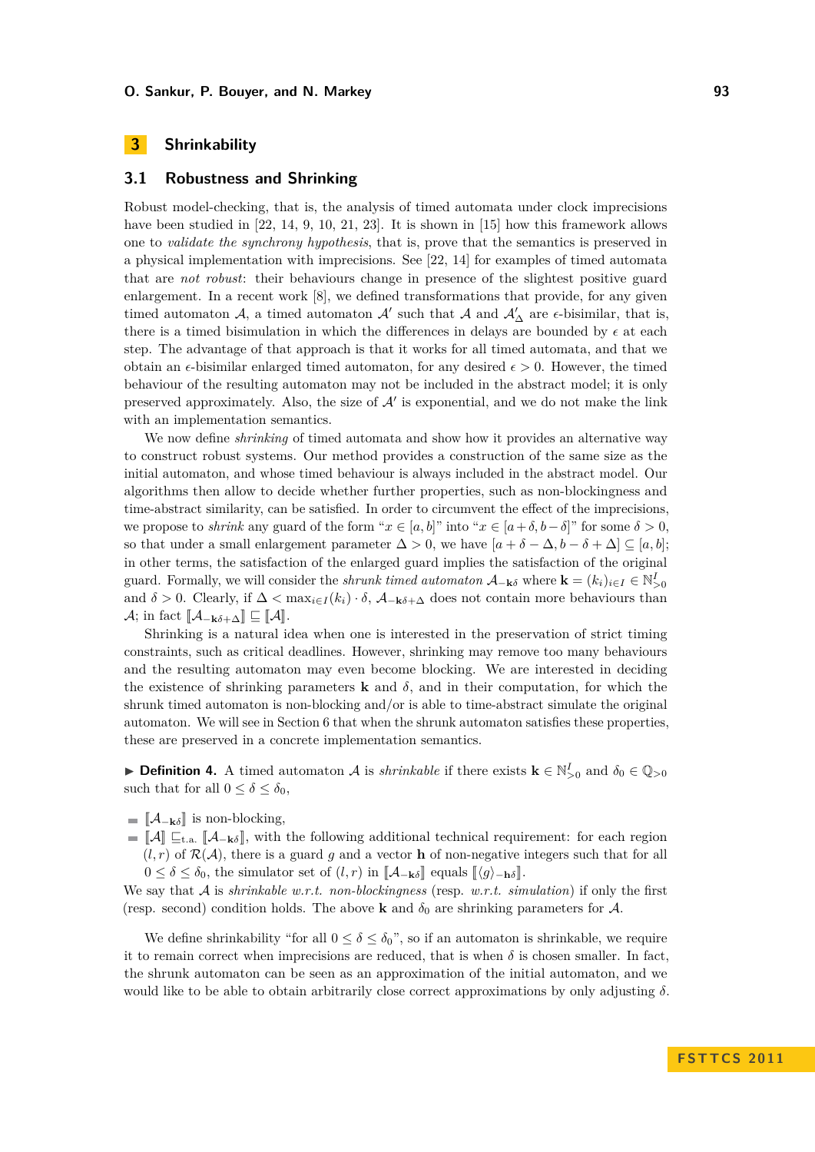# **3 Shrinkability**

#### **3.1 Robustness and Shrinking**

Robust model-checking, that is, the analysis of timed automata under clock imprecisions have been studied in [\[22,](#page-12-0) [14,](#page-11-2) [9,](#page-11-6) [10,](#page-11-7) [21,](#page-12-2) [23\]](#page-12-3). It is shown in [\[15\]](#page-11-5) how this framework allows one to *validate the synchrony hypothesis*, that is, prove that the semantics is preserved in a physical implementation with imprecisions. See [\[22,](#page-12-0) [14\]](#page-11-2) for examples of timed automata that are *not robust*: their behaviours change in presence of the slightest positive guard enlargement. In a recent work [\[8\]](#page-11-8), we defined transformations that provide, for any given timed automaton  $\mathcal{A}$ , a timed automaton  $\mathcal{A}'$  such that  $\mathcal{A}$  and  $\mathcal{A}'_{\Delta}$  are  $\epsilon$ -bisimilar, that is, there is a timed bisimulation in which the differences in delays are bounded by  $\epsilon$  at each step. The advantage of that approach is that it works for all timed automata, and that we obtain an  $\epsilon$ -bisimilar enlarged timed automaton, for any desired  $\epsilon > 0$ . However, the timed behaviour of the resulting automaton may not be included in the abstract model; it is only preserved approximately. Also, the size of  $A'$  is exponential, and we do not make the link with an implementation semantics.

We now define *shrinking* of timed automata and show how it provides an alternative way to construct robust systems. Our method provides a construction of the same size as the initial automaton, and whose timed behaviour is always included in the abstract model. Our algorithms then allow to decide whether further properties, such as non-blockingness and time-abstract similarity, can be satisfied. In order to circumvent the effect of the imprecisions, we propose to *shrink* any guard of the form " $x \in [a, b]$ " into " $x \in [a + \delta, b - \delta]$ " for some  $\delta > 0$ , so that under a small enlargement parameter  $\Delta > 0$ , we have  $[a + \delta - \Delta, b - \delta + \Delta] \subset [a, b];$ in other terms, the satisfaction of the enlarged guard implies the satisfaction of the original guard. Formally, we will consider the *shrunk timed automaton*  $\mathcal{A}_{-\mathbf{k}\delta}$  where  $\mathbf{k} = (k_i)_{i \in I} \in \mathbb{N}_{>0}^I$ and  $\delta > 0$ . Clearly, if  $\Delta < \max_{i \in I} (k_i) \cdot \delta$ ,  $\mathcal{A}_{-k\delta + \Delta}$  does not contain more behaviours than  $\mathcal{A}$ ; in fact  $[\![\mathcal{A}_{-\mathbf{k}\delta+\Delta}]\!] \sqsubseteq [\![\mathcal{A}]\!]$ .

Shrinking is a natural idea when one is interested in the preservation of strict timing constraints, such as critical deadlines. However, shrinking may remove too many behaviours and the resulting automaton may even become blocking. We are interested in deciding the existence of shrinking parameters **k** and  $\delta$ , and in their computation, for which the shrunk timed automaton is non-blocking and/or is able to time-abstract simulate the original automaton. We will see in Section [6](#page-9-0) that when the shrunk automaton satisfies these properties, these are preserved in a concrete implementation semantics.

**► Definition 4.** A timed automaton A is *shrinkable* if there exists  $\mathbf{k} \in \mathbb{N}_{>0}^I$  and  $\delta_0 \in \mathbb{Q}_{>0}$ such that for all  $0 \leq \delta \leq \delta_0$ ,

- $\blacksquare$   $\llbracket \mathcal{A}_{-\mathbf{k}\delta} \rrbracket$  is non-blocking,
- $\mathbf{I} = \|\mathcal{A}\| \subseteq_{t.a.} \|\mathcal{A}_{-k\delta}\|$ , with the following additional technical requirement: for each region  $(l, r)$  of  $\mathcal{R}(\mathcal{A})$ , there is a guard g and a vector **h** of non-negative integers such that for all  $0 \le \delta \le \delta_0$ , the simulator set of  $(l, r)$  in  $\llbracket \mathcal{A}_{\mathbf{-k}\delta} \rrbracket$  equals  $\llbracket \langle g \rangle_{\mathbf{-h}\delta} \rrbracket$ .

We say that A is *shrinkable w.r.t. non-blockingness* (resp. *w.r.t. simulation*) if only the first (resp. second) condition holds. The above **k** and  $\delta_0$  are shrinking parameters for A.

We define shrinkability "for all  $0 \le \delta \le \delta_0$ ", so if an automaton is shrinkable, we require it to remain correct when imprecisions are reduced, that is when  $\delta$  is chosen smaller. In fact, the shrunk automaton can be seen as an approximation of the initial automaton, and we would like to be able to obtain arbitrarily close correct approximations by only adjusting *δ*.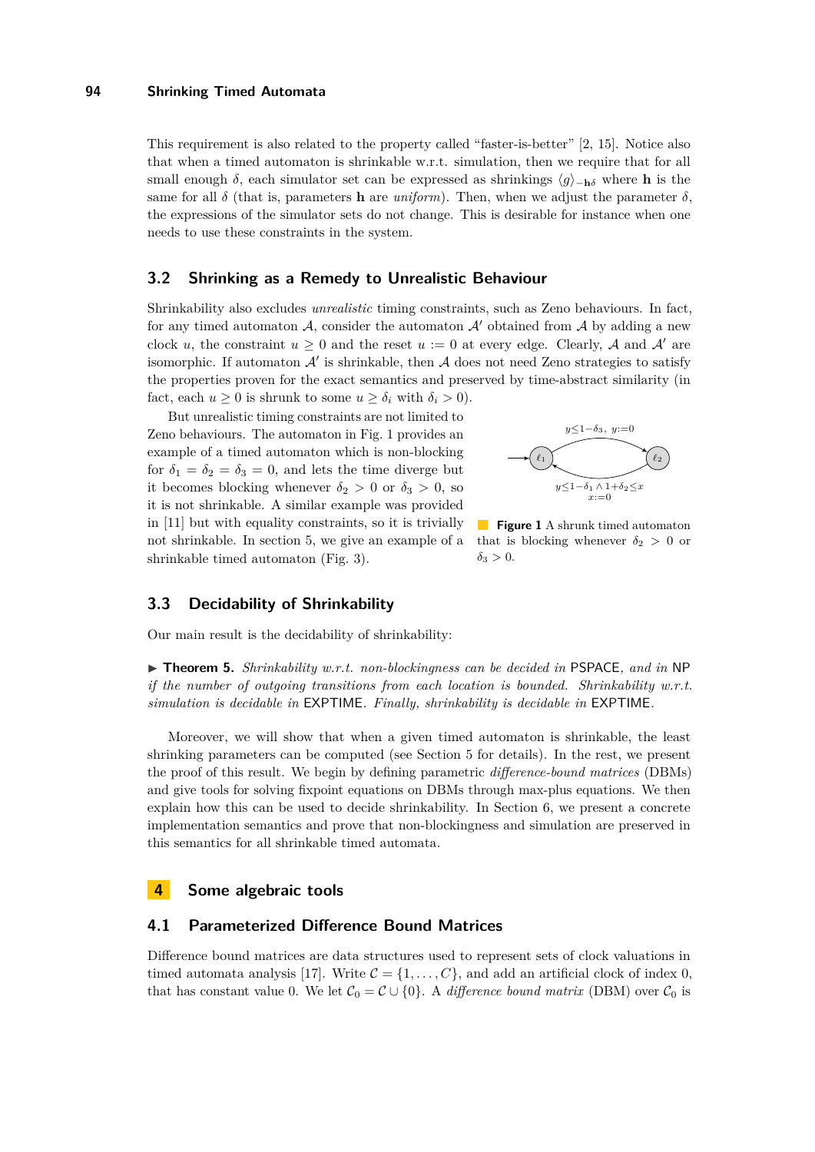This requirement is also related to the property called "faster-is-better" [\[2,](#page-11-9) [15\]](#page-11-5). Notice also that when a timed automaton is shrinkable w.r.t. simulation, then we require that for all small enough  $\delta$ , each simulator set can be expressed as shrinkings  $\langle q \rangle_{-\mathbf{h}\delta}$  where **h** is the same for all  $\delta$  (that is, parameters **h** are *uniform*). Then, when we adjust the parameter  $\delta$ , the expressions of the simulator sets do not change. This is desirable for instance when one needs to use these constraints in the system.

## <span id="page-4-0"></span>**3.2 Shrinking as a Remedy to Unrealistic Behaviour**

Shrinkability also excludes *unrealistic* timing constraints, such as Zeno behaviours. In fact, for any timed automaton  $\mathcal{A}$ , consider the automaton  $\mathcal{A}'$  obtained from  $\mathcal{A}$  by adding a new clock *u*, the constraint  $u \geq 0$  and the reset  $u := 0$  at every edge. Clearly, A and A' are isomorphic. If automaton  $\mathcal{A}'$  is shrinkable, then  $\mathcal A$  does not need Zeno strategies to satisfy the properties proven for the exact semantics and preserved by time-abstract similarity (in fact, each  $u \geq 0$  is shrunk to some  $u \geq \delta_i$  with  $\delta_i > 0$ .

But unrealistic timing constraints are not limited to Zeno behaviours. The automaton in Fig. [1](#page-4-1) provides an example of a timed automaton which is non-blocking for  $\delta_1 = \delta_2 = \delta_3 = 0$ , and lets the time diverge but it becomes blocking whenever  $\delta_2 > 0$  or  $\delta_3 > 0$ , so it is not shrinkable. A similar example was provided in [\[11\]](#page-11-3) but with equality constraints, so it is trivially not shrinkable. In section [5,](#page-7-0) we give an example of a shrinkable timed automaton (Fig. [3\)](#page-9-1).

<span id="page-4-1"></span>

**Figure 1** A shrunk timed automaton that is blocking whenever  $\delta_2 > 0$  or  $\delta_3 > 0$ .

## **3.3 Decidability of Shrinkability**

Our main result is the decidability of shrinkability:

► **Theorem 5.** *Shrinkability w.r.t. non-blockingness can be decided in* PSPACE, and in NP *if the number of outgoing transitions from each location is bounded. Shrinkability w.r.t. simulation is decidable in* EXPTIME*. Finally, shrinkability is decidable in* EXPTIME*.*

Moreover, we will show that when a given timed automaton is shrinkable, the least shrinking parameters can be computed (see Section [5](#page-7-0) for details). In the rest, we present the proof of this result. We begin by defining parametric *difference-bound matrices* (DBMs) and give tools for solving fixpoint equations on DBMs through max-plus equations. We then explain how this can be used to decide shrinkability. In Section [6,](#page-9-0) we present a concrete implementation semantics and prove that non-blockingness and simulation are preserved in this semantics for all shrinkable timed automata.

## **4 Some algebraic tools**

#### **4.1 Parameterized Difference Bound Matrices**

Difference bound matrices are data structures used to represent sets of clock valuations in timed automata analysis [\[17\]](#page-11-10). Write  $C = \{1, \ldots, C\}$ , and add an artificial clock of index 0, that has constant value 0. We let  $C_0 = C \cup \{0\}$ . A *difference bound matrix* (DBM) over  $C_0$  is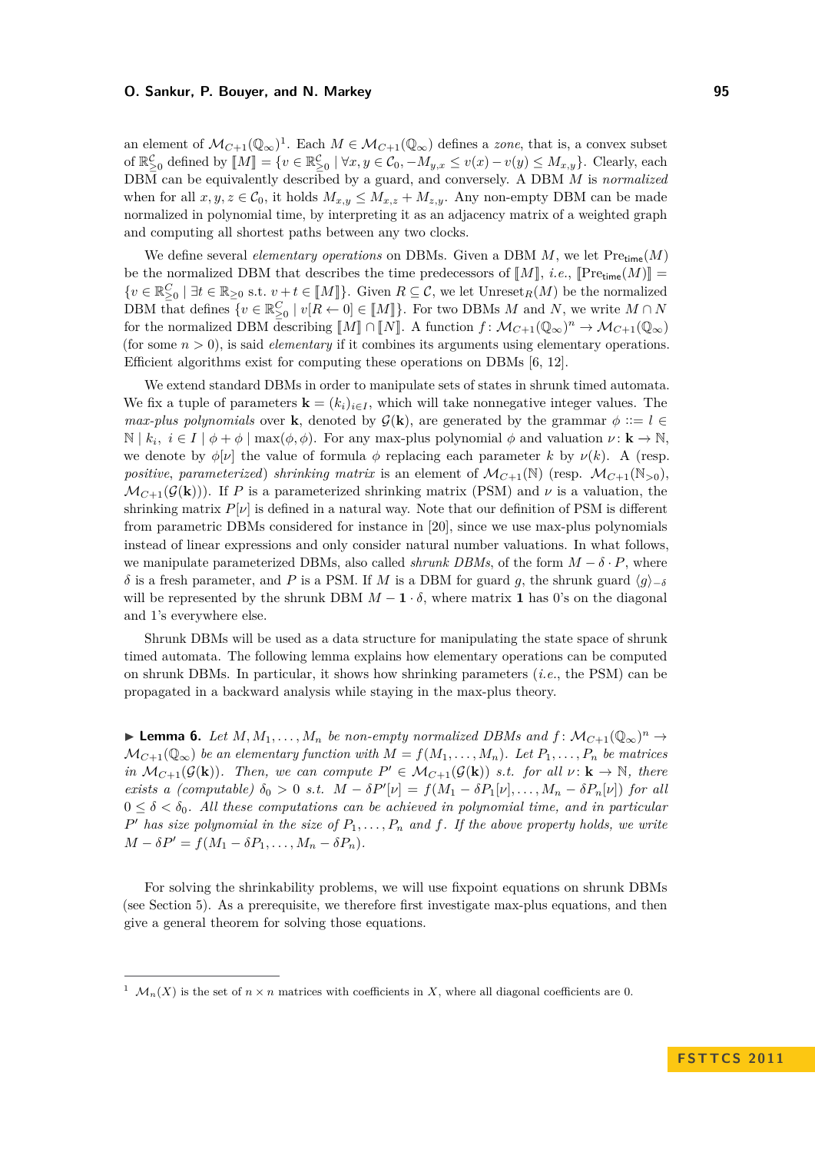an element of  $\mathcal{M}_{C+1}(\mathbb{Q}_{\infty})^1$ . Each  $M \in \mathcal{M}_{C+1}(\mathbb{Q}_{\infty})$  defines a *zone*, that is, a convex subset of  $\mathbb{R}_{\geq 0}^{\mathcal{C}}$  defined by  $\llbracket M \rrbracket = \{v \in \mathbb{R}_{\geq 0}^{\mathcal{C}} \mid \forall x, y \in \mathcal{C}_0, -M_{y,x} \leq v(x) - v(y) \leq M_{x,y}\}.$  Clearly, each population of a sequence of the contraction of a population of a population of the contracti DBM can be equivalently described by a guard, and conversely. A DBM *M* is *normalized* when for all  $x, y, z \in \mathcal{C}_0$ , it holds  $M_{x,y} \leq M_{x,z} + M_{z,y}$ . Any non-empty DBM can be made normalized in polynomial time, by interpreting it as an adjacency matrix of a weighted graph and computing all shortest paths between any two clocks.

We define several *elementary operations* on DBMs. Given a DBM *M*, we let Pretime(*M*) be the normalized DBM that describes the time predecessors of  $[M]$ , *i.e.*,  $[Pre_{time}(M)] =$  $\{v \in \mathbb{R}_{\geq 0}^C \mid \exists t \in \mathbb{R}_{\geq 0} \text{ s.t. } v + t \in [M]\}.$  Given  $R \subseteq \mathcal{C}$ , we let Unreset<sub>R</sub> $(M)$  be the normalized DBM that defines  $\{v \in \mathbb{R}_{\geq 0}^C \mid v[R \leftarrow 0] \in [\![M]\!] \}$ . For two DBMs *M* and *N*, we write  $M \cap N$ for the normalized DBM describing  $\llbracket M \rrbracket \cap \llbracket N \rrbracket$ . A function  $f: \mathcal{M}_{C+1}(\mathbb{Q}_{\infty})^n \to \mathcal{M}_{C+1}(\mathbb{Q}_{\infty})$ (for some *n >* 0), is said *elementary* if it combines its arguments using elementary operations. Efficient algorithms exist for computing these operations on DBMs [\[6,](#page-11-11) [12\]](#page-11-12).

We extend standard DBMs in order to manipulate sets of states in shrunk timed automata. We fix a tuple of parameters  $\mathbf{k} = (k_i)_{i \in I}$ , which will take nonnegative integer values. The *max-plus polynomials* over **k**, denoted by  $\mathcal{G}(\mathbf{k})$ , are generated by the grammar  $\phi ::= l \in$  $\mathbb{N} \mid k_i, i \in I \mid \phi + \phi \mid \max(\phi, \phi)$ . For any max-plus polynomial  $\phi$  and valuation  $\nu : \mathbf{k} \to \mathbb{N}$ , we denote by  $\phi[\nu]$  the value of formula  $\phi$  replacing each parameter *k* by  $\nu(k)$ . A (resp. *positive, parameterized) shrinking matrix* is an element of  $\mathcal{M}_{C+1}(\mathbb{N})$  (resp.  $\mathcal{M}_{C+1}(\mathbb{N}_{>0})$ ).  $\mathcal{M}_{C+1}(\mathcal{G}(k))$ . If *P* is a parameterized shrinking matrix (PSM) and *v* is a valuation, the shrinking matrix  $P[\nu]$  is defined in a natural way. Note that our definition of PSM is different from parametric DBMs considered for instance in [\[20\]](#page-12-4), since we use max-plus polynomials instead of linear expressions and only consider natural number valuations. In what follows, we manipulate parameterized DBMs, also called *shrunk DBMs*, of the form  $M - \delta \cdot P$ , where *δ* is a fresh parameter, and *P* is a PSM. If *M* is a DBM for guard *g*, the shrunk guard  $\langle g \rangle_{-\delta}$ will be represented by the shrunk DBM  $M - 1 \cdot \delta$ , where matrix 1 has 0's on the diagonal and 1's everywhere else.

Shrunk DBMs will be used as a data structure for manipulating the state space of shrunk timed automata. The following lemma explains how elementary operations can be computed on shrunk DBMs. In particular, it shows how shrinking parameters (*i.e.*, the PSM) can be propagated in a backward analysis while staying in the max-plus theory.

<span id="page-5-0"></span>▶ **Lemma 6.** *Let*  $M, M_1, \ldots, M_n$  *be non-empty normalized DBMs and*  $f: M_{C+1}(\mathbb{Q}_{\infty})^n \to$  $\mathcal{M}_{C+1}(\mathbb{Q}_{\infty})$  *be an elementary function with*  $M = f(M_1, \ldots, M_n)$ *. Let*  $P_1, \ldots, P_n$  *be matrices in*  $\mathcal{M}_{C+1}(\mathcal{G}(\mathbf{k}))$ *. Then, we can compute*  $P' \in \mathcal{M}_{C+1}(\mathcal{G}(\mathbf{k}))$  *s.t. for all*  $\nu: \mathbf{k} \to \mathbb{N}$ *, there exists a (computable)*  $\delta_0 > 0$  *s.t.*  $M - \delta P'[v] = f(M_1 - \delta P_1[v], \ldots, M_n - \delta P_n[v])$  for all  $0 \leq \delta < \delta_0$ . All these computations can be achieved in polynomial time, and in particular  $P'$  *has size polynomial in the size of*  $P_1, \ldots, P_n$  *and*  $f$ *. If the above property holds, we write*  $M - \delta P' = f(M_1 - \delta P_1, \ldots, M_n - \delta P_n).$ 

For solving the shrinkability problems, we will use fixpoint equations on shrunk DBMs (see Section [5\)](#page-7-0). As a prerequisite, we therefore first investigate max-plus equations, and then give a general theorem for solving those equations.

 $\mathcal{M}_n(X)$  is the set of  $n \times n$  matrices with coefficients in X, where all diagonal coefficients are 0.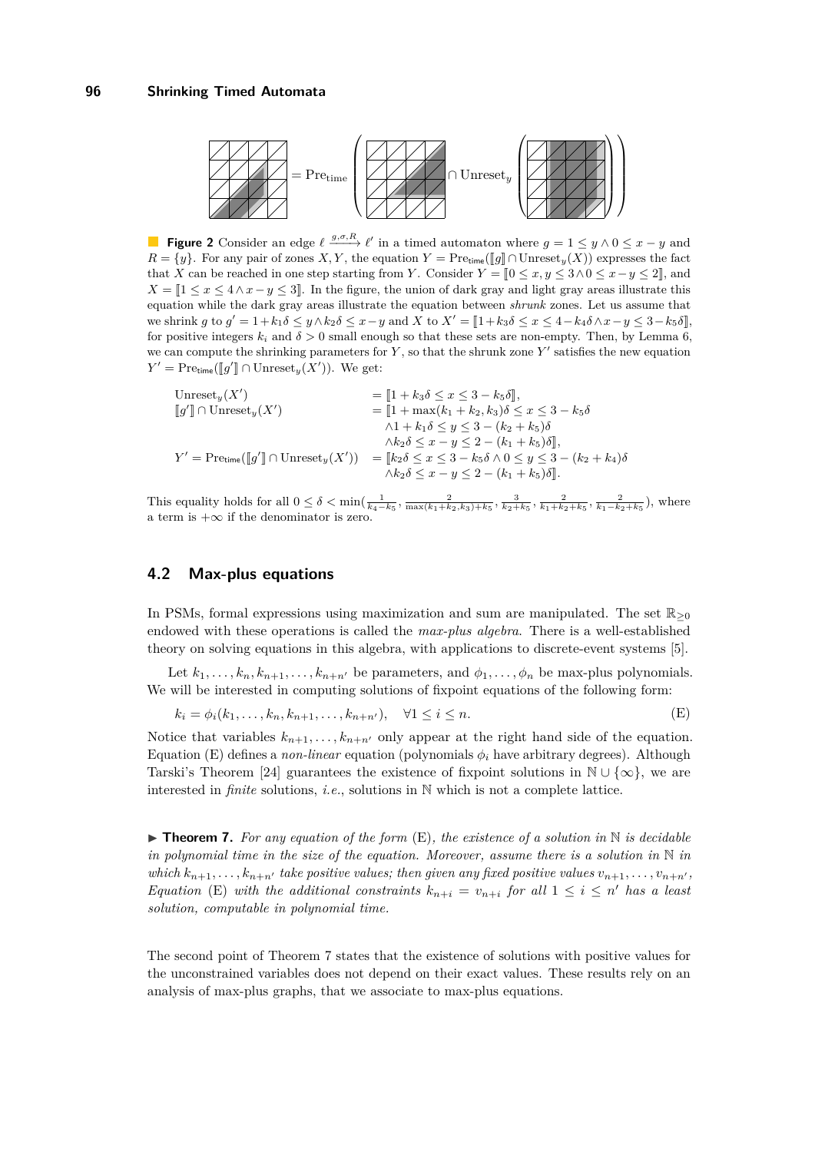

**Figure 2** Consider an edge  $\ell \xrightarrow{g,\sigma,R} \ell'$  in a timed automaton where  $g = 1 \leq y \wedge 0 \leq x - y$  and *R* = {*y*}. For any pair of zones *X*, *Y*, the equation *Y* = Pre<sub>time</sub>( $[g] ∩$ Unreset<sub>*y*</sub>(*X*)) expresses the fact that *X* can be reached in one step starting from *Y*. Consider  $Y = [0 \le x, y \le 3 \land 0 \le x - y \le 2]$ , and  $X = \llbracket 1 \leq x \leq 4 \land x - y \leq 3 \rrbracket$ . In the figure, the union of dark gray and light gray areas illustrate this equation while the dark gray areas illustrate the equation between *shrunk* zones. Let us assume that we shrink g to  $g' = 1 + k_1 \delta \leq y \wedge k_2 \delta \leq x - y$  and X to  $X' = [1 + k_3 \delta \leq x \leq 4 - k_4 \delta \wedge x - y \leq 3 - k_5 \delta]$ for positive integers  $k_i$  and  $\delta > 0$  small enough so that these sets are non-empty. Then, by Lemma [6,](#page-5-0) we can compute the shrinking parameters for  $Y$ , so that the shrunk zone  $Y'$  satisfies the new equation  $Y' = \text{Pretime}([\![g']\!] \cap \text{Unreset}_y(X'))$ . We get:

| Unreset <sub>u</sub> $(X')$                                                  | $=$ $[1 + k_3 \delta \leq x \leq 3 - k_5 \delta],$                                       |
|------------------------------------------------------------------------------|------------------------------------------------------------------------------------------|
| $\llbracket g' \rrbracket \cap \mathrm{Unreset}_y(X')$                       | $= [1 + \max(k_1 + k_2, k_3)\delta \leq x \leq 3 - k_5\delta]$                           |
|                                                                              | $\wedge 1 + k_1 \delta \leq y \leq 3 - (k_2 + k_5) \delta$                               |
|                                                                              | $\wedge k_2 \delta \leq x - y \leq 2 - (k_1 + k_5) \delta \rVert,$                       |
| $Y' = \text{Pre}_{time}(\llbracket q' \rrbracket \cap \text{Unreset}_u(X'))$ | $=$ $[k_2 \delta \leq x \leq 3 - k_5 \delta \wedge 0 \leq y \leq 3 - (k_2 + k_4) \delta$ |
|                                                                              | $\wedge k_2 \delta \leq x - y \leq 2 - (k_1 + k_5) \delta$ .                             |
|                                                                              |                                                                                          |

This equality holds for all  $0 \le \delta < \min(\frac{1}{k_4 - k_5}, \frac{2}{\max(k_1 + k_2, k_3) + k_5}, \frac{3}{k_2 + k_5}, \frac{2}{k_1 + k_2 + k_5}, \frac{2}{k_1 - k_2 + k_5})$ , where a term is  $+\infty$  if the denominator is zero.

## **4.2 Max-plus equations**

In PSMs, formal expressions using maximization and sum are manipulated. The set  $\mathbb{R}_{\geq 0}$ endowed with these operations is called the *max-plus algebra*. There is a well-established theory on solving equations in this algebra, with applications to discrete-event systems [\[5\]](#page-11-13).

Let  $k_1, \ldots, k_n, k_{n+1}, \ldots, k_{n+n'}$  be parameters, and  $\phi_1, \ldots, \phi_n$  be max-plus polynomials. We will be interested in computing solutions of fixpoint equations of the following form:

<span id="page-6-2"></span><span id="page-6-0"></span>
$$
k_i = \phi_i(k_1, \dots, k_n, k_{n+1}, \dots, k_{n+n'}), \quad \forall 1 \le i \le n.
$$
 (E)

Notice that variables  $k_{n+1}, \ldots, k_{n+n'}$  only appear at the right hand side of the equation. Equation [\(E\)](#page-6-0) defines a *non-linear* equation (polynomials  $\phi_i$  have arbitrary degrees). Although Tarski's Theorem [\[24\]](#page-12-5) guarantees the existence of fixpoint solutions in  $\mathbb{N} \cup {\infty}$ , we are interested in *finite* solutions, *i.e.*, solutions in N which is not a complete lattice.

<span id="page-6-1"></span> $\triangleright$  **Theorem 7.** For any equation of the form  $(E)$ , the existence of a solution in  $\mathbb N$  is decidable *in polynomial time in the size of the equation. Moreover, assume there is a solution in* N *in which*  $k_{n+1}, \ldots, k_{n+n'}$  take positive values; then given any fixed positive values  $v_{n+1}, \ldots, v_{n+n'}$ *Equation* [\(E\)](#page-6-0) *with the additional constraints*  $k_{n+i} = v_{n+i}$  *for all*  $1 \leq i \leq n'$  *has a least solution, computable in polynomial time.*

The second point of Theorem [7](#page-6-1) states that the existence of solutions with positive values for the unconstrained variables does not depend on their exact values. These results rely on an analysis of max-plus graphs, that we associate to max-plus equations.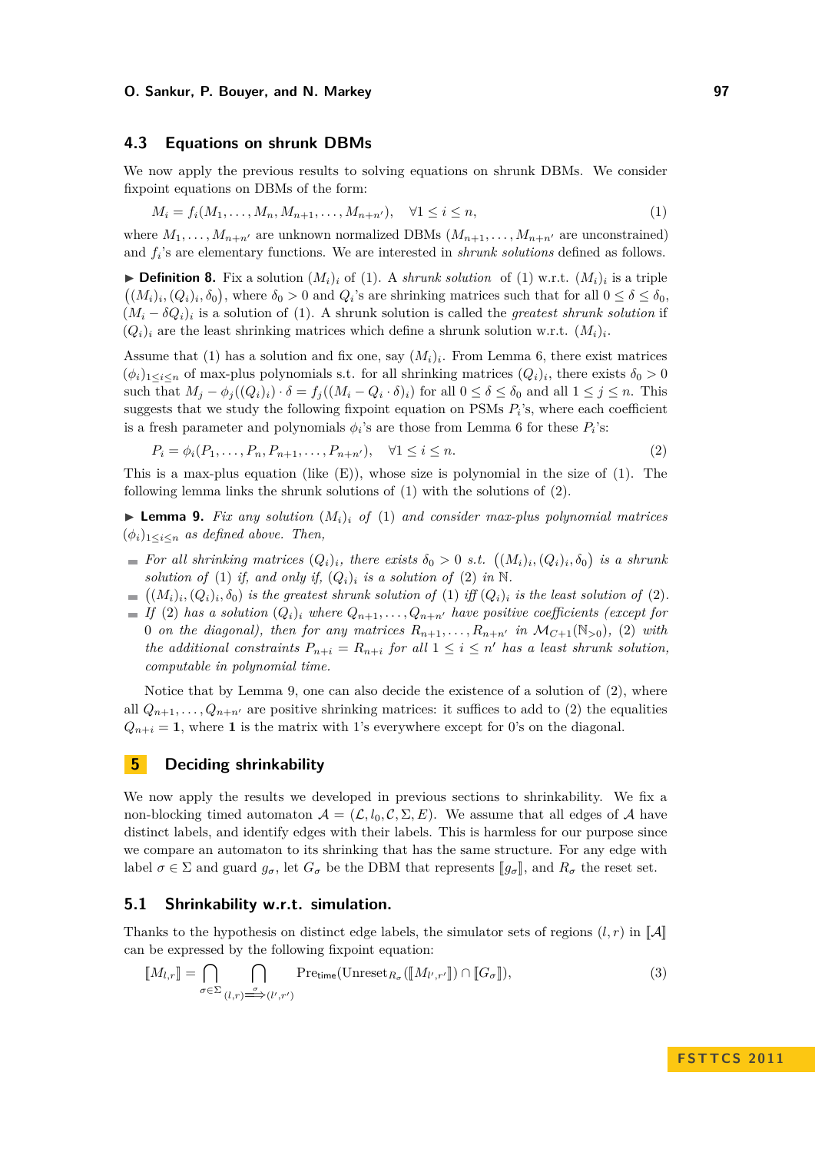## **4.3 Equations on shrunk DBMs**

We now apply the previous results to solving equations on shrunk DBMs. We consider fixpoint equations on DBMs of the form:

$$
M_i = f_i(M_1, \dots, M_n, M_{n+1}, \dots, M_{n+n'}), \quad \forall 1 \le i \le n,
$$
\n(1)

where  $M_1, \ldots, M_{n+n'}$  are unknown normalized DBMs  $(M_{n+1}, \ldots, M_{n+n'}$  are unconstrained) and *f<sup>i</sup>* 's are elementary functions. We are interested in *shrunk solutions* defined as follows.

**Definition 8.** Fix a solution  $(M_i)_i$  of [\(1\)](#page-6-2). A *shrunk solution* of (1) w.r.t.  $(M_i)_i$  is a triple  $((M_i)_i, (Q_i)_i, \delta_0)$ , where  $\delta_0 > 0$  and  $Q_i$ 's are shrinking matrices such that for all  $0 \le \delta \le \delta_0$ ,  $(M_i - \delta Q_i)_i$  is a solution of [\(1\)](#page-6-2). A shrunk solution is called the *greatest shrunk solution* if  $(Q_i)_i$  are the least shrinking matrices which define a shrunk solution w.r.t.  $(M_i)_i$ .

Assume that [\(1\)](#page-6-2) has a solution and fix one, say  $(M_i)_i$ . From Lemma [6,](#page-5-0) there exist matrices  $(\phi_i)_{1 \leq i \leq n}$  of max-plus polynomials s.t. for all shrinking matrices  $(Q_i)_i$ , there exists  $\delta_0 > 0$ such that  $M_j - \phi_j((Q_i)_i) \cdot \delta = f_j((M_i - Q_i \cdot \delta)_i)$  for all  $0 \le \delta \le \delta_0$  and all  $1 \le j \le n$ . This suggests that we study the following fixpoint equation on PSMs  $P_i$ 's, where each coefficient is a fresh parameter and polynomials  $\phi_i$ 's are those from Lemma [6](#page-5-0) for these  $P_i$ 's:

<span id="page-7-1"></span>
$$
P_i = \phi_i(P_1, \dots, P_n, P_{n+1}, \dots, P_{n+n'}), \quad \forall 1 \le i \le n.
$$
\n(2)

This is a max-plus equation (like  $(E)$ ), whose size is polynomial in the size of  $(1)$ . The following lemma links the shrunk solutions of [\(1\)](#page-6-2) with the solutions of [\(2\)](#page-7-1).

<span id="page-7-2"></span> $\triangleright$  **Lemma 9.** Fix any solution  $(M_i)$  of [\(1\)](#page-6-2) and consider max-plus polynomial matrices  $(\phi_i)_{1 \leq i \leq n}$  *as defined above. Then,* 

- *For all shrinking matrices*  $(Q_i)_i$ , there exists  $\delta_0 > 0$  *s.t.*  $((M_i)_i, (Q_i)_i, \delta_0)$  is a shrunk *solution of* [\(1\)](#page-6-2) *if, and only if,*  $(Q_i)_i$  *is a solution of* [\(2\)](#page-7-1) *in* N.
- $((M_i)_i, (Q_i)_i, \delta_0)$  *is the greatest shrunk solution of* [\(1\)](#page-6-2) *iff*  $(Q_i)_i$  *is the least solution of* [\(2\)](#page-7-1)*.*
- $I(f(2))$  $I(f(2))$  $I(f(2))$  *has a solution*  $(Q_i)_i$  *where*  $Q_{n+1}, \ldots, Q_{n+n'}$  *have positive coefficients (except for* 0 *on the diagonal), then for any matrices*  $R_{n+1}, \ldots, R_{n+n'}$  *in*  $\mathcal{M}_{C+1}(\mathbb{N}_{>0})$ , [\(2\)](#page-7-1) *with the additional constraints*  $P_{n+i} = R_{n+i}$  *for all*  $1 \leq i \leq n'$  *has a least shrunk solution, computable in polynomial time.*

Notice that by Lemma [9,](#page-7-2) one can also decide the existence of a solution of [\(2\)](#page-7-1), where all  $Q_{n+1}, \ldots, Q_{n+n'}$  are positive shrinking matrices: it suffices to add to [\(2\)](#page-7-1) the equalities  $Q_{n+i} = 1$ , where 1 is the matrix with 1's everywhere except for 0's on the diagonal.

# <span id="page-7-0"></span>**5 Deciding shrinkability**

We now apply the results we developed in previous sections to shrinkability. We fix a non-blocking timed automaton  $A = (\mathcal{L}, l_0, \mathcal{C}, \Sigma, E)$ . We assume that all edges of A have distinct labels, and identify edges with their labels. This is harmless for our purpose since we compare an automaton to its shrinking that has the same structure. For any edge with label  $\sigma \in \Sigma$  and guard  $g_{\sigma}$ , let  $G_{\sigma}$  be the DBM that represents  $||g_{\sigma}||$ , and  $R_{\sigma}$  the reset set.

## **5.1 Shrinkability w.r.t. simulation.**

Thanks to the hypothesis on distinct edge labels, the simulator sets of regions  $(l, r)$  in  $\llbracket A \rrbracket$ can be expressed by the following fixpoint equation:

<span id="page-7-3"></span>
$$
\llbracket M_{l,r} \rrbracket = \bigcap_{\sigma \in \Sigma} \bigcap_{(l,r) \xrightarrow{\sigma} (l',r')} \text{Pretime}(\text{Unreset}_{R_{\sigma}}(\llbracket M_{l',r'} \rrbracket) \cap \llbracket G_{\sigma} \rrbracket),
$$
\n(3)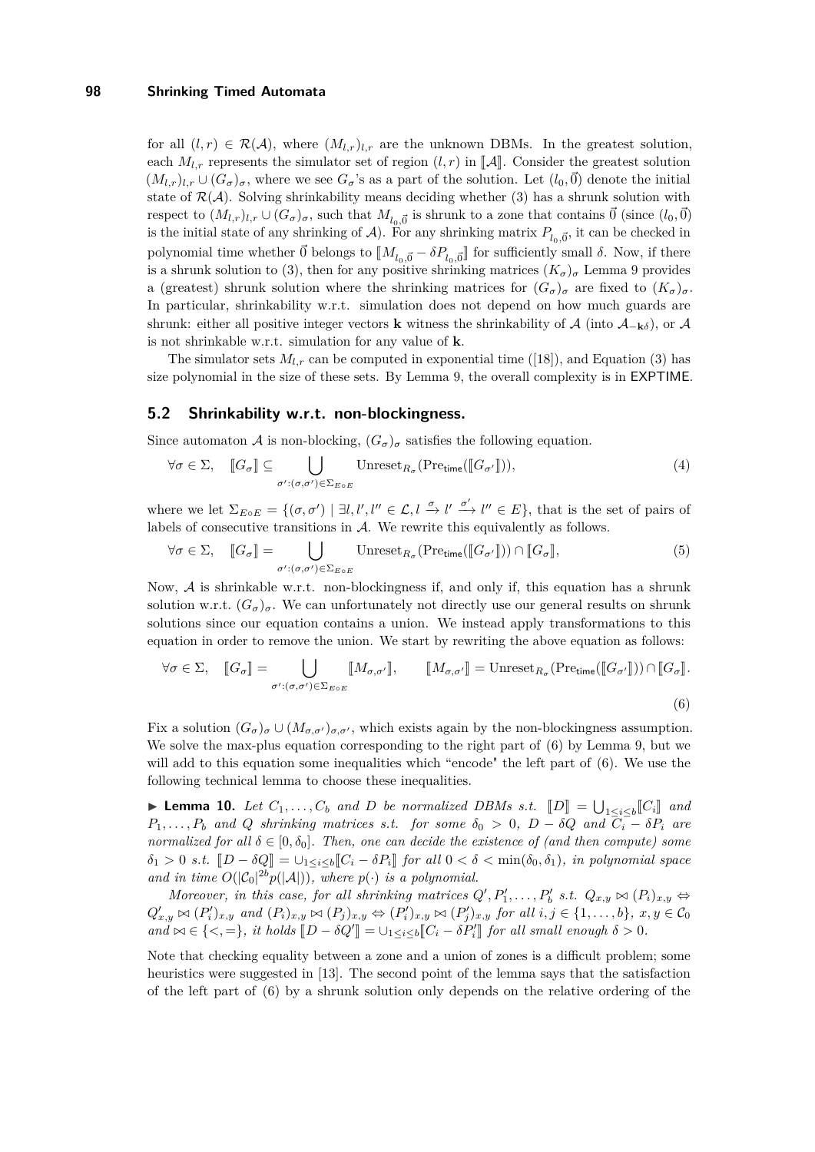for all  $(l, r) \in \mathcal{R}(\mathcal{A})$ , where  $(M_{l,r})_{l,r}$  are the unknown DBMs. In the greatest solution, each  $M_{l,r}$  represents the simulator set of region  $(l,r)$  in  $\llbracket \mathcal{A} \rrbracket$ . Consider the greatest solution  $(M_{l,r})_{l,r}\cup (G_{\sigma})_{\sigma}$ , where we see  $G_{\sigma}$ 's as a part of the solution. Let  $(l_0,\vec{0})$  denote the initial state of  $\mathcal{R}(\mathcal{A})$ . Solving shrinkability means deciding whether [\(3\)](#page-7-3) has a shrunk solution with respect to  $(M_{l,r})_{l,r} \cup (G_{\sigma})_{\sigma}$ , such that  $M_{l_0,\vec{0}}$  is shrunk to a zone that contains  $\vec{0}$  (since  $(l_0,\vec{0})$ is the initial state of any shrinking of  $A$ ). For any shrinking matrix  $P_{l_0, \vec{0}}$ , it can be checked in polynomial time whether  $\vec{0}$  belongs to  $\llbracket M_{l_0, \vec{0}} - \delta P_{l_0, \vec{0}} \rrbracket$  for sufficiently small  $\delta$ . Now, if there is a shrunk solution to [\(3\)](#page-7-3), then for any positive shrinking matrices  $(K_{\sigma})_{\sigma}$  Lemma [9](#page-7-2) provides a (greatest) shrunk solution where the shrinking matrices for  $(G_{\sigma})_{\sigma}$  are fixed to  $(K_{\sigma})_{\sigma}$ . In particular, shrinkability w.r.t. simulation does not depend on how much guards are shrunk: either all positive integer vectors **k** witness the shrinkability of  $\mathcal{A}$  (into  $\mathcal{A}_{-k\delta}$ ), or  $\mathcal{A}$ is not shrinkable w.r.t. simulation for any value of **k**.

The simulator sets  $M_{l,r}$  can be computed in exponential time ([\[18\]](#page-12-6)), and Equation [\(3\)](#page-7-3) has size polynomial in the size of these sets. By Lemma [9,](#page-7-2) the overall complexity is in EXPTIME.

## **5.2 Shrinkability w.r.t. non-blockingness.**

Since automaton A is non-blocking,  $(G_{\sigma})_{\sigma}$  satisfies the following equation.

$$
\forall \sigma \in \Sigma, \quad \llbracket G_{\sigma} \rrbracket \subseteq \bigcup_{\sigma': (\sigma, \sigma') \in \Sigma_{E \circ E}} \text{Unreset}_{R_{\sigma}}(\text{Pretime}(\llbracket G_{\sigma'} \rrbracket)),\tag{4}
$$

where we let  $\Sigma_{E \circ E} = \{(\sigma, \sigma') \mid \exists l, l', l'' \in \mathcal{L}, l \xrightarrow{\sigma} l' \xrightarrow{\sigma'} l'' \in E\}$ , that is the set of pairs of labels of consecutive transitions in  $A$ . We rewrite this equivalently as follows.

<span id="page-8-0"></span>
$$
\forall \sigma \in \Sigma, \quad [\![G_{\sigma}]\!] = \bigcup_{\sigma' : (\sigma, \sigma') \in \Sigma_{E \circ E}} \text{Unreset}_{R_{\sigma}}(\text{Pretime}([\![G_{\sigma'}]\!])) \cap [\![G_{\sigma}]\!],\tag{5}
$$

Now,  $A$  is shrinkable w.r.t. non-blockingness if, and only if, this equation has a shrunk solution w.r.t.  $(G_{\sigma})_{\sigma}$ . We can unfortunately not directly use our general results on shrunk solutions since our equation contains a union. We instead apply transformations to this equation in order to remove the union. We start by rewriting the above equation as follows:

$$
\forall \sigma \in \Sigma, \quad [\![G_{\sigma}]\!] = \bigcup_{\sigma' : (\sigma, \sigma') \in \Sigma_{E \circ E}} [\![M_{\sigma, \sigma'}]\!], \qquad [\![M_{\sigma, \sigma'}]\!] = \text{Unreset}_{R_{\sigma}}(\text{Pretime}([\![G_{\sigma'}]\!])) \cap [\![G_{\sigma}]\!].
$$
\n
$$
(6)
$$

Fix a solution  $(G_{\sigma})_{\sigma} \cup (M_{\sigma,\sigma'})_{\sigma,\sigma'}$ , which exists again by the non-blockingness assumption. We solve the max-plus equation corresponding to the right part of  $(6)$  by Lemma [9,](#page-7-2) but we will add to this equation some inequalities which "encode" the left part of  $(6)$ . We use the following technical lemma to choose these inequalities.

<span id="page-8-1"></span>► **Lemma 10.** *Let*  $C_1, \ldots, C_b$  *and D be normalized DBMs s.t.*  $\llbracket D \rrbracket = \bigcup_{1 \leq i \leq b} \llbracket C_i \rrbracket$  and  $C_i$  therefore metrics of the same  $\delta_i > 0$ ,  $D_i$ ,  $\delta Q_i$  and  $C_i$  is  $D_i$  and *P*<sub>1</sub>*,...,P*<sub>*b*</sub> *and Q shrinking matrices s.t. for some*  $\delta_0 > 0$ , *D* −  $\delta Q$  *and*  $\overline{C_i} - \delta P_i$  *are normalized for all*  $\delta \in [0, \delta_0]$ *. Then, one can decide the existence of (and then compute) some*  $\delta_1 > 0$  *s.t.*  $[D - \delta Q] = \bigcup_{1 \le i \le b} [C_i - \delta P_i]$  for all  $0 < \delta < \min(\delta_0, \delta_1)$ *, in polynomial space* and in time  $O(|C_0|^{2b}p(|A|))$ , where  $p(\cdot)$  is a polynomial.

*Moreover, in this case, for all shrinking matrices*  $Q', P'_1, \ldots, P'_b$  *s.t.*  $Q_{x,y} \bowtie (P_i)_{x,y}$   $\Leftrightarrow$  $Q'_{x,y} \bowtie (P'_i)_{x,y}$  and  $(P_i)_{x,y} \bowtie (P_j)_{x,y} \Leftrightarrow (P'_i)_{x,y} \bowtie (P'_j)_{x,y}$  for all  $i, j \in \{1, \ldots, b\}, x, y \in C_0$  $\text{and } \in \{<, =\}, \text{ it holds } [D - \delta Q'] = \cup_{1 \leq i \leq b} [C_i - \delta P'_i] \text{ for all small enough } \delta > 0.$ 

Note that checking equality between a zone and a union of zones is a difficult problem; some heuristics were suggested in [\[13\]](#page-11-14). The second point of the lemma says that the satisfaction of the left part of [\(6\)](#page-8-0) by a shrunk solution only depends on the relative ordering of the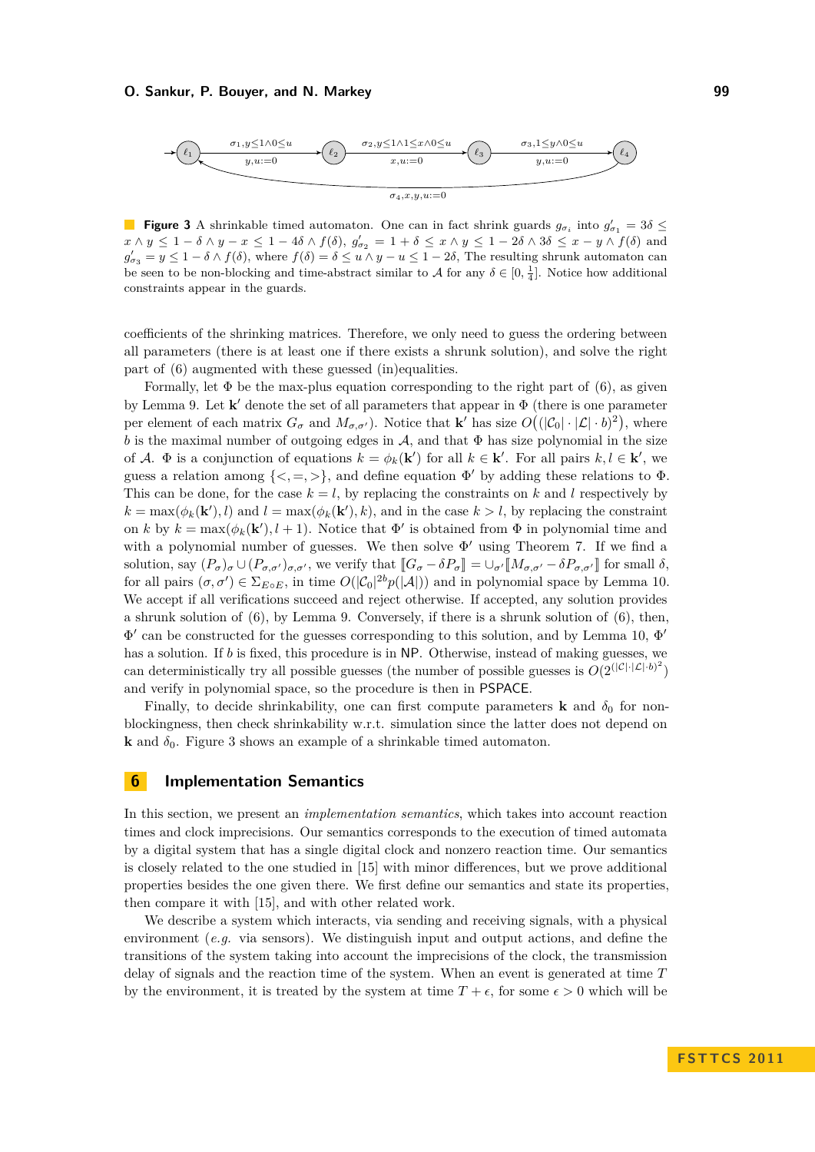<span id="page-9-1"></span>

**Figure 3** A shrinkable timed automaton. One can in fact shrink guards  $g_{\sigma_i}$  into  $g'_{\sigma_1} = 3\delta \leq$  $x \wedge y \leq 1 - \delta \wedge y - x \leq 1 - 4\delta \wedge f(\delta), g'_{\sigma_2} = 1 + \delta \leq x \wedge y \leq 1 - 2\delta \wedge 3\delta \leq x - y \wedge f(\delta)$  and  $g'_{\sigma_3} = y \leq 1 - \delta \wedge f(\delta)$ , where  $f(\delta) = \delta \leq u \wedge y - u \leq 1 - 2\delta$ , The resulting shrunk automaton can be seen to be non-blocking and time-abstract similar to  $A$  for any  $\delta \in [0, \frac{1}{4}]$ . Notice how additional constraints appear in the guards.

coefficients of the shrinking matrices. Therefore, we only need to guess the ordering between all parameters (there is at least one if there exists a shrunk solution), and solve the right part of [\(6\)](#page-8-0) augmented with these guessed (in)equalities.

Formally, let  $\Phi$  be the max-plus equation corresponding to the right part of [\(6\)](#page-8-0), as given by Lemma [9.](#page-7-2) Let  $\mathbf{k}'$  denote the set of all parameters that appear in  $\Phi$  (there is one parameter per element of each matrix  $G_{\sigma}$  and  $M_{\sigma,\sigma'}$ ). Notice that **k**' has size  $O((|\mathcal{C}_0| \cdot |\mathcal{L}| \cdot b)^2)$ , where *b* is the maximal number of outgoing edges in  $\mathcal{A}$ , and that  $\Phi$  has size polynomial in the size of A.  $\Phi$  is a conjunction of equations  $k = \phi_k(\mathbf{k}')$  for all  $k \in \mathbf{k}'$ . For all pairs  $k, l \in \mathbf{k}'$ , we guess a relation among  $\{<, =, >\}$ , and define equation  $\Phi'$  by adding these relations to  $\Phi$ . This can be done, for the case  $k = l$ , by replacing the constraints on k and l respectively by  $k = \max(\phi_k(\mathbf{k}'), l)$  and  $l = \max(\phi_k(\mathbf{k}'), k)$ , and in the case  $k > l$ , by replacing the constraint on *k* by  $k = \max(\phi_k(\mathbf{k}'), l + 1)$ . Notice that  $\Phi'$  is obtained from  $\Phi$  in polynomial time and with a polynomial number of guesses. We then solve  $\Phi'$  using Theorem [7.](#page-6-1) If we find a solution, say  $(P_{\sigma})_{\sigma} \cup (P_{\sigma,\sigma'})_{\sigma,\sigma'}$ , we verify that  $[[G_{\sigma}-\delta P_{\sigma}]] = \cup_{\sigma'} [[M_{\sigma,\sigma'}-\delta P_{\sigma,\sigma'}]]$  for small  $\delta$ , for all pairs  $(\sigma, \sigma') \in \Sigma_{E \circ E}$ , in time  $O(|\mathcal{C}_0|^{2b}p(|\mathcal{A}|))$  and in polynomial space by Lemma [10.](#page-8-1) We accept if all verifications succeed and reject otherwise. If accepted, any solution provides a shrunk solution of  $(6)$ , by Lemma [9.](#page-7-2) Conversely, if there is a shrunk solution of  $(6)$ , then,  $\Phi'$  can be constructed for the guesses corresponding to this solution, and by Lemma [10,](#page-8-1)  $\Phi'$ has a solution. If *b* is fixed, this procedure is in NP. Otherwise, instead of making guesses, we can deterministically try all possible guesses (the number of possible guesses is  $O(2^{(|\mathcal{C}|\cdot|\mathcal{L}|\cdot b)^2})$ and verify in polynomial space, so the procedure is then in PSPACE.

Finally, to decide shrinkability, one can first compute parameters **k** and  $\delta_0$  for nonblockingness, then check shrinkability w.r.t. simulation since the latter does not depend on **k** and  $\delta_0$ . Figure [3](#page-9-1) shows an example of a shrinkable timed automaton.

#### <span id="page-9-0"></span>**6 Implementation Semantics**

In this section, we present an *implementation semantics*, which takes into account reaction times and clock imprecisions. Our semantics corresponds to the execution of timed automata by a digital system that has a single digital clock and nonzero reaction time. Our semantics is closely related to the one studied in [\[15\]](#page-11-5) with minor differences, but we prove additional properties besides the one given there. We first define our semantics and state its properties, then compare it with [\[15\]](#page-11-5), and with other related work.

We describe a system which interacts, via sending and receiving signals, with a physical environment (*e.g.* via sensors). We distinguish input and output actions, and define the transitions of the system taking into account the imprecisions of the clock, the transmission delay of signals and the reaction time of the system. When an event is generated at time *T* by the environment, it is treated by the system at time  $T + \epsilon$ , for some  $\epsilon > 0$  which will be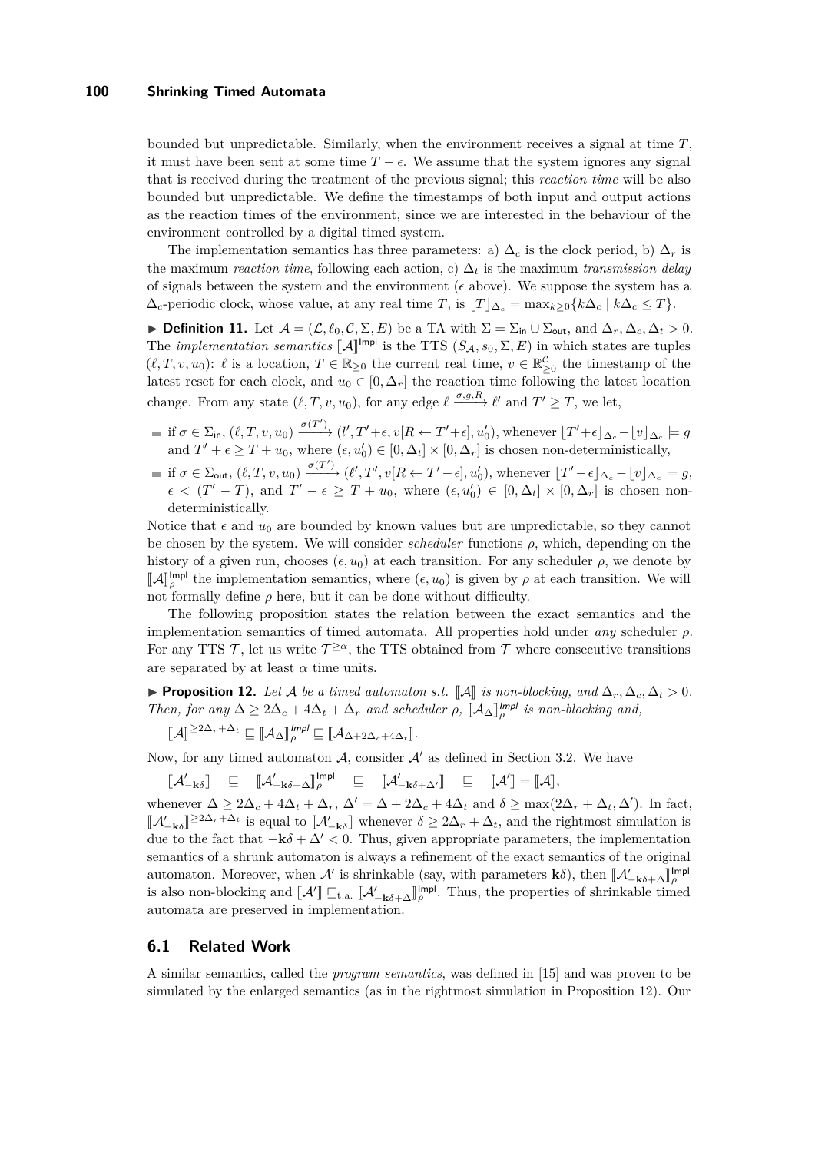bounded but unpredictable. Similarly, when the environment receives a signal at time *T*, it must have been sent at some time  $T - \epsilon$ . We assume that the system ignores any signal that is received during the treatment of the previous signal; this *reaction time* will be also bounded but unpredictable. We define the timestamps of both input and output actions as the reaction times of the environment, since we are interested in the behaviour of the environment controlled by a digital timed system.

The implementation semantics has three parameters: a)  $\Delta_c$  is the clock period, b)  $\Delta_r$  is the maximum *reaction time*, following each action, c) ∆*<sup>t</sup>* is the maximum *transmission delay* of signals between the system and the environment ( $\epsilon$  above). We suppose the system has a  $\Delta_c$ -periodic clock, whose value, at any real time *T*, is  $[T]_{\Delta_c} = \max_{k>0} \{k \Delta_c | k \Delta_c \leq T\}$ .

 $\triangleright$  **Definition 11.** Let  $\mathcal{A} = (\mathcal{L}, \ell_0, \mathcal{C}, \Sigma, E)$  be a TA with  $\Sigma = \Sigma_{\text{in}} \cup \Sigma_{\text{out}}$ , and  $\Delta_r, \Delta_c, \Delta_t > 0$ . The *implementation semantics*  $[\![A]\!]^{\text{Impl}}$  is the TTS  $(S_A, s_0, \Sigma, E)$  in which states are tuples  $(\ell, T, v, u_0)$ :  $\ell$  is a location,  $T \in \mathbb{R}_{\geq 0}$  the current real time,  $v \in \mathbb{R}_{\geq 0}^{\mathcal{C}}$  the timestamp of the latest reset for each clock, and  $u_0 \in [0, \Delta_r]$  the reaction time following the latest location change. From any state  $(\ell, T, v, u_0)$ , for any edge  $\ell \xrightarrow{\sigma, g, R} \ell'$  and  $T' \geq T$ , we let,

- $\text{if } \sigma \in \Sigma_{\text{in}}$ ,  $(\ell, T, v, u_0) \xrightarrow{\sigma(T')} (l', T' + \epsilon, v[R \leftarrow T' + \epsilon], u'_0)$ , whenever  $\lfloor T' + \epsilon \rfloor_{\Delta_c} \lfloor v \rfloor_{\Delta_c} \models g$ and  $T' + \epsilon \geq T + u_0$ , where  $(\epsilon, u'_0) \in [0, \Delta_t] \times [0, \Delta_r]$  is chosen non-deterministically, 0
- $\text{if } \sigma \in \Sigma_{\text{out}}$ ,  $(\ell, T, v, u_0) \xrightarrow{\sigma(T')} (\ell', T', v[R \leftarrow T' \epsilon], u'_0)$ , whenever  $\lfloor T' \epsilon \rfloor_{\Delta_c} \lfloor v \rfloor_{\Delta_c} \models g$ ,  $\epsilon$  <  $(T' - T)$ , and  $T' - \epsilon \geq T + u_0$ , where  $(\epsilon, u'_0) \in [0, \Delta_t] \times [0, \Delta_r]$  is chosen nondeterministically.

Notice that  $\epsilon$  and  $u_0$  are bounded by known values but are unpredictable, so they cannot be chosen by the system. We will consider *scheduler* functions *ρ*, which, depending on the history of a given run, chooses  $(\epsilon, u_0)$  at each transition. For any scheduler  $\rho$ , we denote by  $\llbracket A \rrbracket_{\rho\rho}^{\text{Impl}}$  the implementation semantics, where  $(\epsilon, u_0)$  is given by  $\rho$  at each transition. We will not formally define  $\rho$  here, but it can be done without difficulty.

The following proposition states the relation between the exact semantics and the implementation semantics of timed automata. All properties hold under *any* scheduler *ρ*. For any TTS  $\mathcal{T}$ , let us write  $\mathcal{T}^{\geq \alpha}$ , the TTS obtained from  $\mathcal{T}$  where consecutive transitions are separated by at least  $\alpha$  time units.

<span id="page-10-0"></span>► **Proposition 12.** Let A be a timed automaton s.t.  $\llbracket A \rrbracket$  is non-blocking, and  $\Delta_r, \Delta_c, \Delta_t > 0$ . *Then, for any*  $\Delta \geq 2\Delta_c + 4\Delta_t + \Delta_r$  *and scheduler*  $\rho$ ,  $\llbracket A_{\Delta} \rrbracket_{\rho}^{lmpl}$  *is non-blocking and,* 

$$
[\![\mathcal{A}]\!]^{\geq 2\Delta_r + \Delta_t} \sqsubseteq [\![\mathcal{A}_\Delta]\!]_{\rho}^{lmpl} \sqsubseteq [\![\mathcal{A}_{\Delta+2\Delta_c+4\Delta_t}]\!].
$$

Now, for any timed automaton  $A$ , consider  $A'$  as defined in Section [3.2.](#page-4-0) We have

$$
\llbracket \mathcal{A}'_{-\mathbf{k}\delta} \rrbracket \quad \sqsubseteq \quad \llbracket \mathcal{A}'_{-\mathbf{k}\delta+\Delta} \rrbracket_{\rho}^{\text{Impl}} \quad \sqsubseteq \quad \llbracket \mathcal{A}'_{-\mathbf{k}\delta+\Delta'} \rrbracket \quad \sqsubseteq \quad \llbracket \mathcal{A}' \rrbracket = \llbracket \mathcal{A} \rrbracket,
$$

whenever  $\Delta \geq 2\Delta_c + 4\Delta_t + \Delta_r$ ,  $\Delta' = \Delta + 2\Delta_c + 4\Delta_t$  and  $\delta \geq \max(2\Delta_r + \Delta_t, \Delta')$ . In fact,  $[\mathcal{A}'_{-\mathbf{k}\delta}]$  $\geq$ 2∆*r* + ∆*t* is equal to  $\llbracket A'_{-\mathbf{k}\delta} \rrbracket$  whenever  $\delta \geq 2\Delta_r + \Delta_t$ , and the rightmost simulation is due to the fact that  $-\mathbf{k}\delta + \Delta' < 0$ . Thus, given appropriate parameters, the implementation semantics of a shrunk automaton is always a refinement of the exact semantics of the original automaton. Moreover, when  $\mathcal{A}'$  is shrinkable (say, with parameters  $\mathbf{k}\delta$ ), then  $\|\mathcal{A}'_{-\mathbf{k}\delta+\Delta}\|_{\rho}^{\text{Impl}}$  $\mathbf{A}^{\text{in}}$  is also non-blocking and  $\llbracket \mathcal{A}^{\prime} \rrbracket_{\mathcal{F}} \leq \mathbf{A}$ .  $\llbracket \mathcal{A}^{\prime} \rrbracket_{\mathcal{F}} \leq \mathbf{A}$ .  $\llbracket \mathcal{A}^{\prime} \rrbracket_{\mathcal{F}} \leq \mathbf{A}$ .  $\llbracket \mathcal{A}^{\prime} \rrbracket_{\mathcal{F}} \leq \mathbf{A}$ . Thus, the properties of shrin automata are preserved in implementation.

## **6.1 Related Work**

A similar semantics, called the *program semantics*, was defined in [\[15\]](#page-11-5) and was proven to be simulated by the enlarged semantics (as in the rightmost simulation in Proposition [12\)](#page-10-0). Our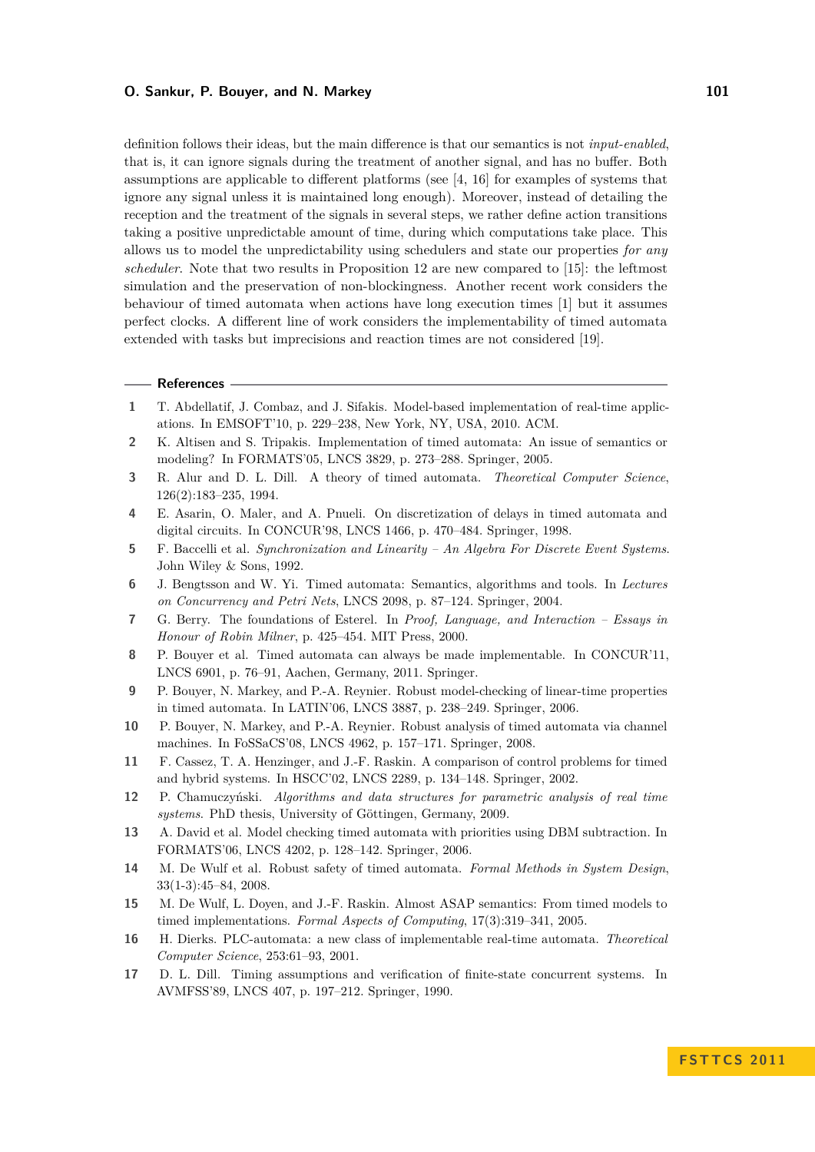definition follows their ideas, but the main difference is that our semantics is not *input-enabled*, that is, it can ignore signals during the treatment of another signal, and has no buffer. Both assumptions are applicable to different platforms (see [\[4,](#page-11-15) [16\]](#page-11-16) for examples of systems that ignore any signal unless it is maintained long enough). Moreover, instead of detailing the reception and the treatment of the signals in several steps, we rather define action transitions taking a positive unpredictable amount of time, during which computations take place. This allows us to model the unpredictability using schedulers and state our properties *for any scheduler*. Note that two results in Proposition [12](#page-10-0) are new compared to [\[15\]](#page-11-5): the leftmost simulation and the preservation of non-blockingness. Another recent work considers the behaviour of timed automata when actions have long execution times [\[1\]](#page-11-4) but it assumes perfect clocks. A different line of work considers the implementability of timed automata extended with tasks but imprecisions and reaction times are not considered [\[19\]](#page-12-7).

#### **References**

- <span id="page-11-4"></span>**1** T. Abdellatif, J. Combaz, and J. Sifakis. Model-based implementation of real-time applications. In EMSOFT'10, p. 229–238, New York, NY, USA, 2010. ACM.
- <span id="page-11-9"></span>**2** K. Altisen and S. Tripakis. Implementation of timed automata: An issue of semantics or modeling? In FORMATS'05, LNCS 3829, p. 273–288. Springer, 2005.
- <span id="page-11-0"></span>**3** R. Alur and D. L. Dill. A theory of timed automata. *Theoretical Computer Science*, 126(2):183–235, 1994.
- <span id="page-11-15"></span>**4** E. Asarin, O. Maler, and A. Pnueli. On discretization of delays in timed automata and digital circuits. In CONCUR'98, LNCS 1466, p. 470–484. Springer, 1998.
- <span id="page-11-13"></span>**5** F. Baccelli et al. *Synchronization and Linearity – An Algebra For Discrete Event Systems*. John Wiley & Sons, 1992.
- <span id="page-11-11"></span>**6** J. Bengtsson and W. Yi. Timed automata: Semantics, algorithms and tools. In *Lectures on Concurrency and Petri Nets*, LNCS 2098, p. 87–124. Springer, 2004.
- <span id="page-11-1"></span>**7** G. Berry. The foundations of Esterel. In *Proof, Language, and Interaction – Essays in Honour of Robin Milner*, p. 425–454. MIT Press, 2000.
- <span id="page-11-8"></span>**8** P. Bouyer et al. [Timed automata can always be made implementable.](http://www.lsv.ens-cachan.fr/Publis/PAPERS/PDF/BLMST-concur11.pdf) In CONCUR'11, LNCS 6901, p. 76–91, Aachen, Germany, 2011. Springer.
- <span id="page-11-6"></span>**9** P. Bouyer, N. Markey, and P.-A. Reynier. Robust model-checking of linear-time properties in timed automata. In LATIN'06, LNCS 3887, p. 238–249. Springer, 2006.
- <span id="page-11-7"></span>**10** P. Bouyer, N. Markey, and P.-A. Reynier. Robust analysis of timed automata via channel machines. In FoSSaCS'08, LNCS 4962, p. 157–171. Springer, 2008.
- <span id="page-11-3"></span>**11** F. Cassez, T. A. Henzinger, and J.-F. Raskin. A comparison of control problems for timed and hybrid systems. In HSCC'02, LNCS 2289, p. 134–148. Springer, 2002.
- <span id="page-11-12"></span>**12** P. Chamuczyński. *Algorithms and data structures for parametric analysis of real time systems*. PhD thesis, University of Göttingen, Germany, 2009.
- <span id="page-11-14"></span>**13** A. David et al. Model checking timed automata with priorities using DBM subtraction. In FORMATS'06, LNCS 4202, p. 128–142. Springer, 2006.
- <span id="page-11-2"></span>**14** M. De Wulf et al. Robust safety of timed automata. *Formal Methods in System Design*, 33(1-3):45–84, 2008.
- <span id="page-11-5"></span>**15** M. De Wulf, L. Doyen, and J.-F. Raskin. Almost ASAP semantics: From timed models to timed implementations. *Formal Aspects of Computing*, 17(3):319–341, 2005.
- <span id="page-11-16"></span>**16** H. Dierks. PLC-automata: a new class of implementable real-time automata. *Theoretical Computer Science*, 253:61–93, 2001.
- <span id="page-11-10"></span>**17** D. L. Dill. Timing assumptions and verification of finite-state concurrent systems. In AVMFSS'89, LNCS 407, p. 197–212. Springer, 1990.